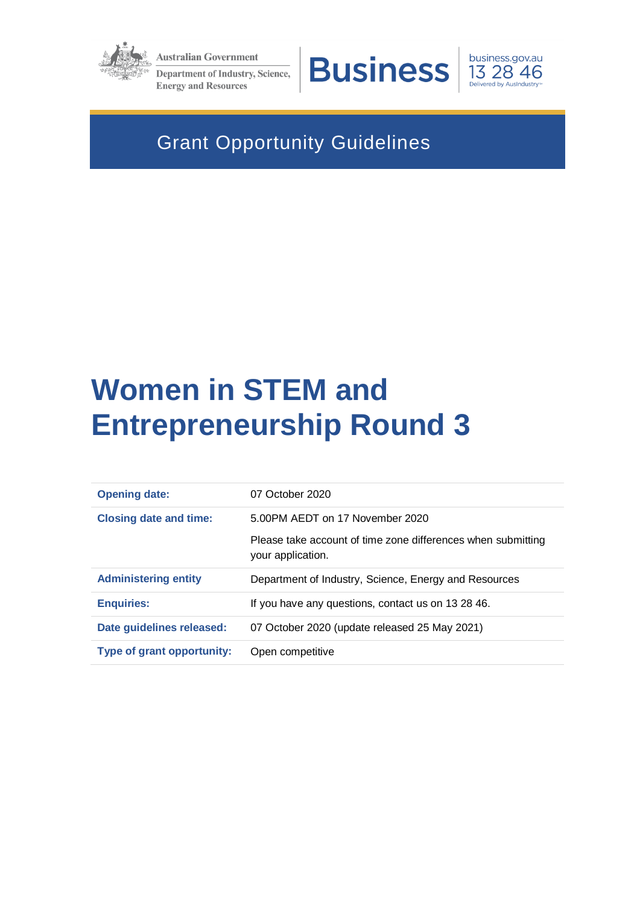

**Australian Government** Department of Industry, Science,

**Energy and Resources** 





# Grant Opportunity Guidelines

# **Women in STEM and Entrepreneurship Round 3**

| <b>Opening date:</b>              | 07 October 2020                                                                   |
|-----------------------------------|-----------------------------------------------------------------------------------|
| <b>Closing date and time:</b>     | 5.00PM AEDT on 17 November 2020                                                   |
|                                   | Please take account of time zone differences when submitting<br>your application. |
| <b>Administering entity</b>       | Department of Industry, Science, Energy and Resources                             |
| <b>Enquiries:</b>                 | If you have any questions, contact us on 13 28 46.                                |
| Date guidelines released:         | 07 October 2020 (update released 25 May 2021)                                     |
| <b>Type of grant opportunity:</b> | Open competitive                                                                  |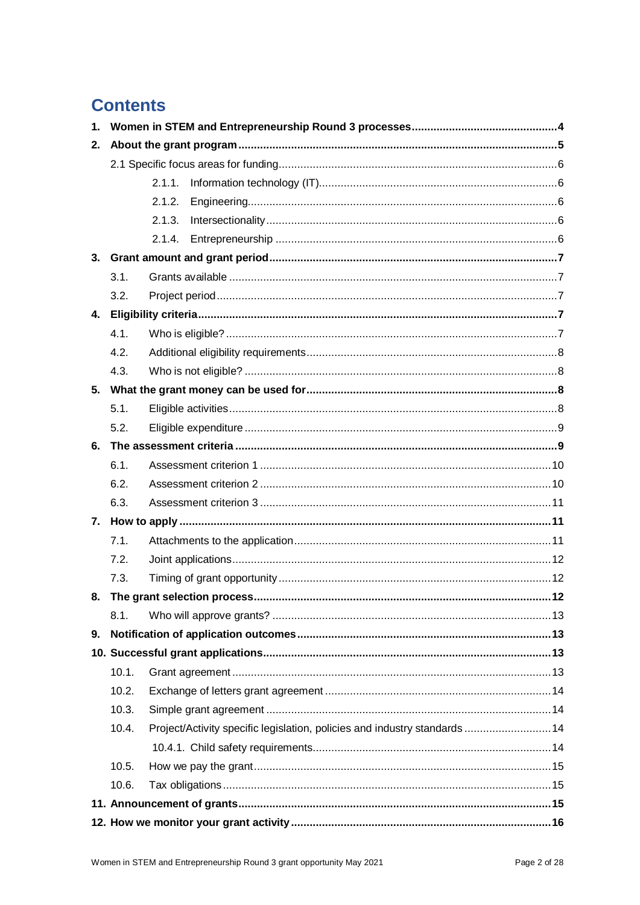# **Contents**

| 1. |       |                                                                            |
|----|-------|----------------------------------------------------------------------------|
| 2. |       |                                                                            |
|    |       |                                                                            |
|    |       | 2.1.1.                                                                     |
|    |       | 2.1.2.                                                                     |
|    |       | 2.1.3.                                                                     |
|    |       | 2.1.4.                                                                     |
| 3. |       |                                                                            |
|    | 3.1.  |                                                                            |
|    | 3.2.  |                                                                            |
| 4. |       |                                                                            |
|    | 4.1.  |                                                                            |
|    | 4.2.  |                                                                            |
|    | 4.3.  |                                                                            |
|    |       |                                                                            |
|    | 5.1.  |                                                                            |
|    | 5.2.  |                                                                            |
| 6. |       |                                                                            |
|    | 6.1.  |                                                                            |
|    | 6.2.  |                                                                            |
|    | 6.3.  |                                                                            |
|    |       |                                                                            |
|    | 7.1.  |                                                                            |
|    | 7.2.  |                                                                            |
|    | 7.3.  |                                                                            |
|    |       |                                                                            |
|    | 8.1.  |                                                                            |
| 9. |       |                                                                            |
|    |       |                                                                            |
|    | 10.1. |                                                                            |
|    | 10.2. |                                                                            |
|    | 10.3. |                                                                            |
|    | 10.4. | Project/Activity specific legislation, policies and industry standards  14 |
|    |       |                                                                            |
|    | 10.5. |                                                                            |
|    | 10.6. |                                                                            |
|    |       |                                                                            |
|    |       |                                                                            |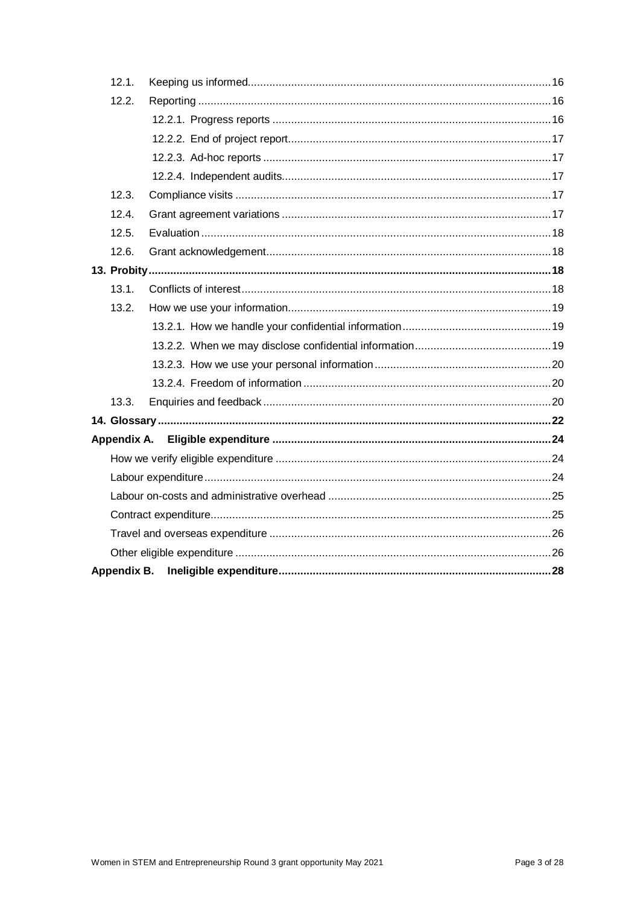| 12.1. |  |
|-------|--|
| 12.2. |  |
|       |  |
|       |  |
|       |  |
|       |  |
| 12.3. |  |
| 12.4. |  |
| 12.5. |  |
| 12.6. |  |
|       |  |
| 13.1. |  |
| 13.2. |  |
|       |  |
|       |  |
|       |  |
|       |  |
| 13.3. |  |
|       |  |
|       |  |
|       |  |
|       |  |
|       |  |
|       |  |
|       |  |
|       |  |
|       |  |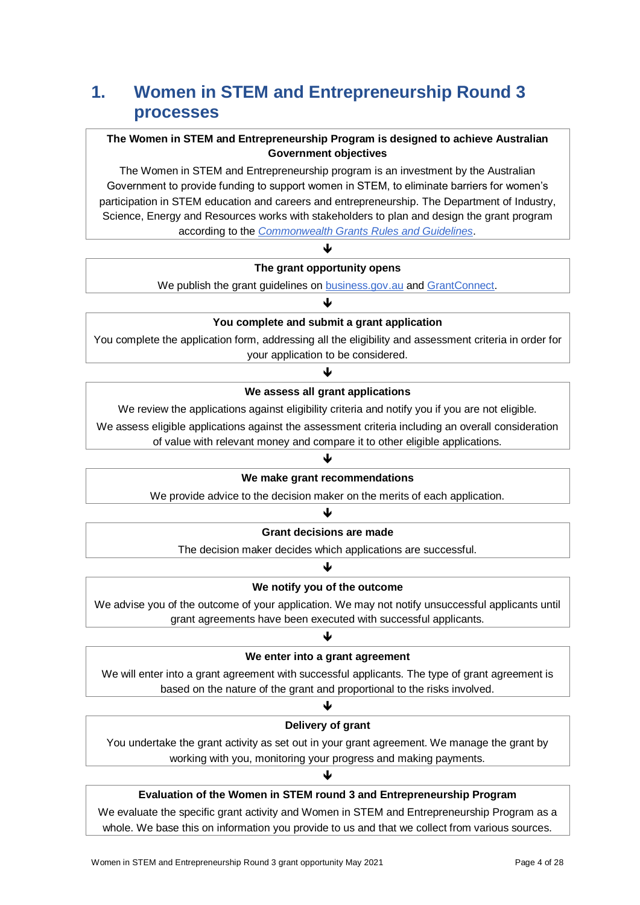# **1. Women in STEM and Entrepreneurship Round 3 processes**

### **The Women in STEM and Entrepreneurship Program is designed to achieve Australian Government objectives**

The Women in STEM and Entrepreneurship program is an investment by the Australian Government to provide funding to support women in STEM, to eliminate barriers for women's participation in STEM education and careers and entrepreneurship. The Department of Industry, Science, Energy and Resources works with stakeholders to plan and design the grant program according to the *[Commonwealth Grants Rules and Guidelines](https://www.finance.gov.au/sites/default/files/2019-11/commonwealth-grants-rules-and-guidelines.pdf)*.

### ብ **The grant opportunity opens**

We publish the grant guidelines on **business.gov.au and GrantConnect**.

### ♦ **You complete and submit a grant application**

You complete the application form, addressing all the eligibility and assessment criteria in order for your application to be considered.

### J

#### **We assess all grant applications**

We review the applications against eligibility criteria and notify you if you are not eligible.

We assess eligible applications against the assessment criteria including an overall consideration

of value with relevant money and compare it to other eligible applications.

### ♦

### **We make grant recommendations**

We provide advice to the decision maker on the merits of each application.

### ψ

#### **Grant decisions are made**

The decision maker decides which applications are successful.

### ♦

### **We notify you of the outcome**

We advise you of the outcome of your application. We may not notify unsuccessful applicants until grant agreements have been executed with successful applicants.

### ብ

### **We enter into a grant agreement**

We will enter into a grant agreement with successful applicants. The type of grant agreement is based on the nature of the grant and proportional to the risks involved.

### ↓ **Delivery of grant**

You undertake the grant activity as set out in your grant agreement. We manage the grant by working with you, monitoring your progress and making payments.

### J

### **Evaluation of the Women in STEM round 3 and Entrepreneurship Program**

We evaluate the specific grant activity and Women in STEM and Entrepreneurship Program as a whole. We base this on information you provide to us and that we collect from various sources.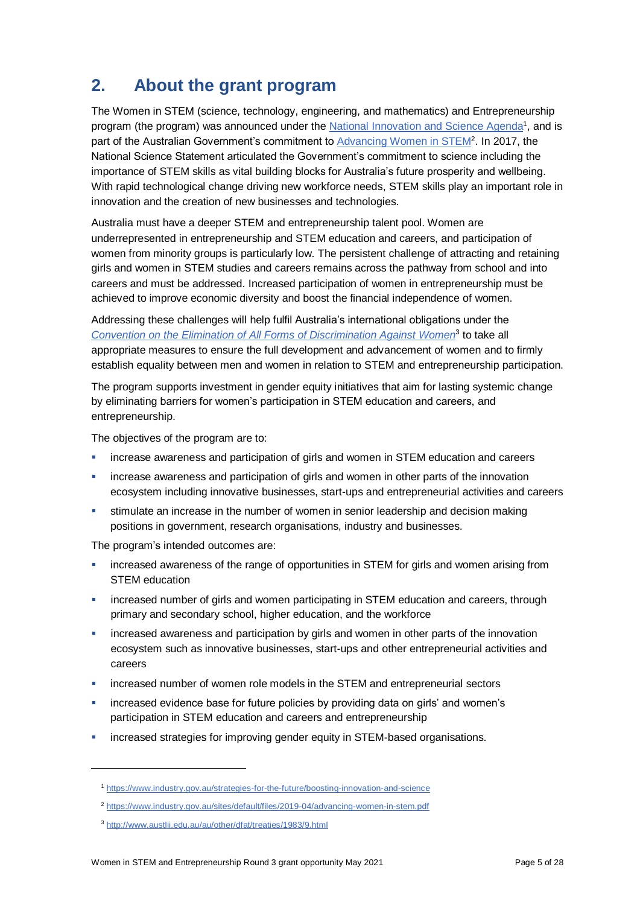# **2. About the grant program**

The Women in STEM (science, technology, engineering, and mathematics) and Entrepreneurship program (the program) was announced under the [National Innovation and Science Agenda](https://www.industry.gov.au/strategies-for-the-future/boosting-innovation-and-science)<sup>1</sup>, and is part of the Australian Government's commitment to <u>Advancing Women in STEM</u><sup>2</sup>. In 2017, the National Science Statement articulated the Government's commitment to science including the importance of STEM skills as vital building blocks for Australia's future prosperity and wellbeing. With rapid technological change driving new workforce needs, STEM skills play an important role in innovation and the creation of new businesses and technologies.

Australia must have a deeper STEM and entrepreneurship talent pool. Women are underrepresented in entrepreneurship and STEM education and careers, and participation of women from minority groups is particularly low. The persistent challenge of attracting and retaining girls and women in STEM studies and careers remains across the pathway from school and into careers and must be addressed. Increased participation of women in entrepreneurship must be achieved to improve economic diversity and boost the financial independence of women.

Addressing these challenges will help fulfil Australia's international obligations under the *Convention on the [Elimination of All Forms of Discrimination Against Women](http://www.austlii.edu.au/au/other/dfat/treaties/1983/9.html)*<sup>3</sup> to take all appropriate measures to ensure the full development and advancement of women and to firmly establish equality between men and women in relation to STEM and entrepreneurship participation.

The program supports investment in gender equity initiatives that aim for lasting systemic change by eliminating barriers for women's participation in STEM education and careers, and entrepreneurship.

The objectives of the program are to:

- **EXED** increase awareness and participation of girls and women in STEM education and careers
- increase awareness and participation of girls and women in other parts of the innovation ecosystem including innovative businesses, start-ups and entrepreneurial activities and careers
- stimulate an increase in the number of women in senior leadership and decision making positions in government, research organisations, industry and businesses.

The program's intended outcomes are:

- **EXECT** increased awareness of the range of opportunities in STEM for girls and women arising from STEM education
- **EXED** increased number of girls and women participating in STEM education and careers, through primary and secondary school, higher education, and the workforce
- increased awareness and participation by girls and women in other parts of the innovation ecosystem such as innovative businesses, start-ups and other entrepreneurial activities and careers
- **EXED** increased number of women role models in the STEM and entrepreneurial sectors
- increased evidence base for future policies by providing data on girls' and women's participation in STEM education and careers and entrepreneurship
- increased strategies for improving gender equity in STEM-based organisations.

l

<sup>1</sup> <https://www.industry.gov.au/strategies-for-the-future/boosting-innovation-and-science>

<sup>2</sup> <https://www.industry.gov.au/sites/default/files/2019-04/advancing-women-in-stem.pdf>

<sup>3</sup> <http://www.austlii.edu.au/au/other/dfat/treaties/1983/9.html>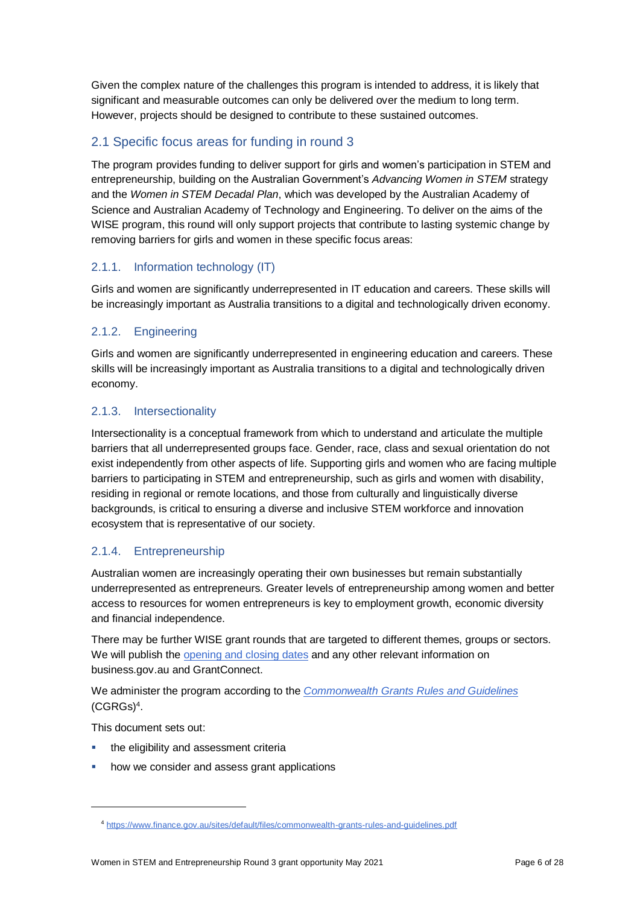Given the complex nature of the challenges this program is intended to address, it is likely that significant and measurable outcomes can only be delivered over the medium to long term. However, projects should be designed to contribute to these sustained outcomes.

### 2.1 Specific focus areas for funding in round 3

The program provides funding to deliver support for girls and women's participation in STEM and entrepreneurship, building on the Australian Government's *Advancing Women in STEM* strategy and the *Women in STEM Decadal Plan*, which was developed by the Australian Academy of Science and Australian Academy of Technology and Engineering. To deliver on the aims of the WISE program, this round will only support projects that contribute to lasting systemic change by removing barriers for girls and women in these specific focus areas:

### 2.1.1. Information technology (IT)

Girls and women are significantly underrepresented in IT education and careers. These skills will be increasingly important as Australia transitions to a digital and technologically driven economy.

### 2.1.2. Engineering

Girls and women are significantly underrepresented in engineering education and careers. These skills will be increasingly important as Australia transitions to a digital and technologically driven economy.

### 2.1.3. Intersectionality

Intersectionality is a conceptual framework from which to understand and articulate the multiple barriers that all underrepresented groups face. Gender, race, class and sexual orientation do not exist independently from other aspects of life. Supporting girls and women who are facing multiple barriers to participating in STEM and entrepreneurship, such as girls and women with disability, residing in regional or remote locations, and those from culturally and linguistically diverse backgrounds, is critical to ensuring a diverse and inclusive STEM workforce and innovation ecosystem that is representative of our society.

### 2.1.4. Entrepreneurship

Australian women are increasingly operating their own businesses but remain substantially underrepresented as entrepreneurs. Greater levels of entrepreneurship among women and better access to resources for women entrepreneurs is key to employment growth, economic diversity and financial independence.

There may be further WISE grant rounds that are targeted to different themes, groups or sectors. We will publish th[e opening and closing dates](http://www.business.gov.au/WISE) and any other relevant information on business.gov.au and GrantConnect.

We administer the program according to the *[Commonwealth Grants Rules and Guidelines](https://www.finance.gov.au/sites/default/files/2019-11/commonwealth-grants-rules-and-guidelines.pdf)* [\(CGRGs\)](https://www.finance.gov.au/sites/default/files/2019-11/commonwealth-grants-rules-and-guidelines.pdf)<sup>4</sup> .

This document sets out:

l

- the eligibility and assessment criteria
- how we consider and assess grant applications

<sup>4</sup> <https://www.finance.gov.au/sites/default/files/commonwealth-grants-rules-and-guidelines.pdf>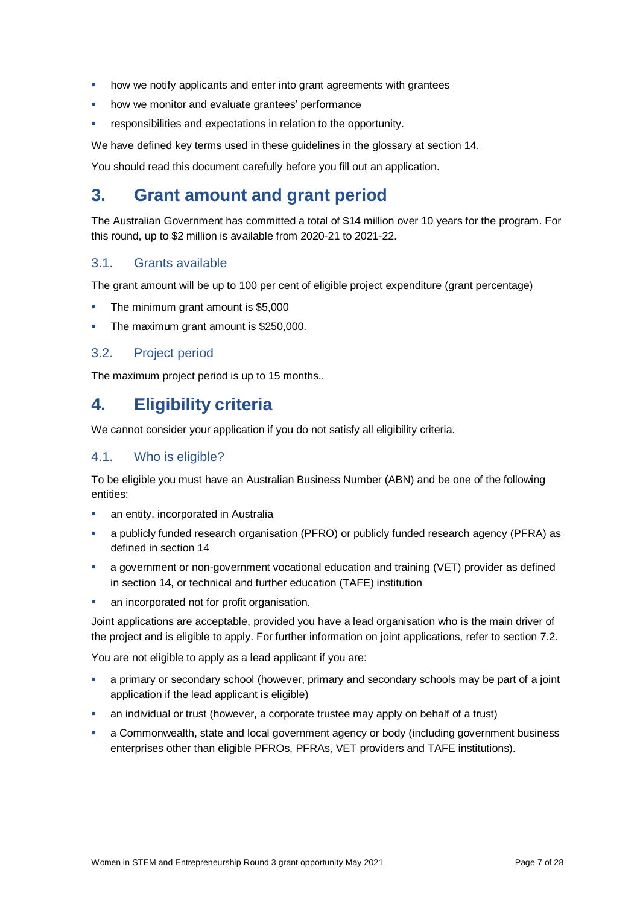- **•** how we notify applicants and enter into grant agreements with grantees
- how we monitor and evaluate grantees' performance
- responsibilities and expectations in relation to the opportunity.

We have defined key terms used in these guidelines in the glossary at section [14.](#page-21-0)

You should read this document carefully before you fill out an application.

### **3. Grant amount and grant period**

The Australian Government has committed a total of \$14 million over 10 years for the program. For this round, up to \$2 million is available from 2020-21 to 2021-22.

### 3.1. Grants available

The grant amount will be up to 100 per cent of eligible project expenditure (grant percentage)

- The minimum grant amount is \$5,000
- The maximum grant amount is \$250,000.

### 3.2. Project period

The maximum project period is up to 15 months..

### **4. Eligibility criteria**

We cannot consider your application if you do not satisfy all eligibility criteria.

### <span id="page-6-0"></span>4.1. Who is eligible?

To be eligible you must have an Australian Business Number (ABN) and be one of the following entities:

- an entity, incorporated in Australia
- a publicly funded research organisation (PFRO) or publicly funded research agency (PFRA) as defined in sectio[n 14](#page-21-0)
- a government or non-government vocational education and training (VET) provider as defined in section 14, or technical and further education (TAFE) institution
- an incorporated not for profit organisation.

Joint applications are acceptable, provided you have a lead organisation who is the main driver of the project and is eligible to apply. For further information on joint applications, refer to section [7.2.](#page-11-0)

You are not eligible to apply as a lead applicant if you are:

- a primary or secondary school (however, primary and secondary schools may be part of a joint application if the lead applicant is eligible)
- an individual or trust (however, a corporate trustee may apply on behalf of a trust)
- a Commonwealth, state and local government agency or body (including government business enterprises other than eligible PFROs, PFRAs, VET providers and TAFE institutions).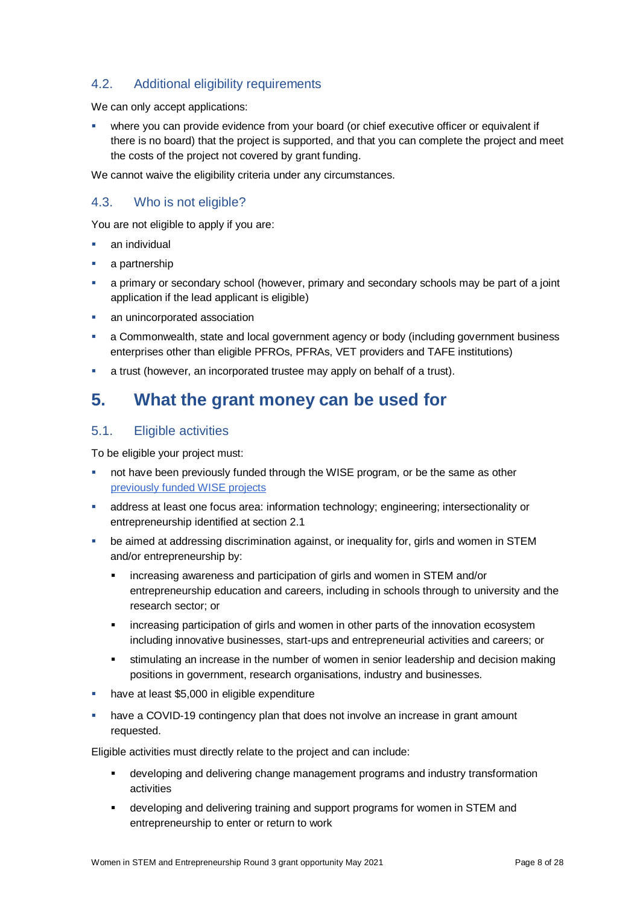### 4.2. Additional eligibility requirements

We can only accept applications:

 where you can provide evidence from your board (or chief executive officer or equivalent if there is no board) that the project is supported, and that you can complete the project and meet the costs of the project not covered by grant funding.

We cannot waive the eligibility criteria under any circumstances.

### 4.3. Who is not eligible?

You are not eligible to apply if you are:

- an individual
- a partnership
- a primary or secondary school (however, primary and secondary schools may be part of a joint application if the lead applicant is eligible)
- an unincorporated association
- a Commonwealth, state and local government agency or body (including government business enterprises other than eligible PFROs, PFRAs, VET providers and TAFE institutions)
- a trust (however, an incorporated trustee may apply on behalf of a trust).

### **5. What the grant money can be used for**

### <span id="page-7-0"></span>5.1. Eligible activities

To be eligible your project must:

- not have been previously funded through the WISE program, or be the same as other [previously funded](https://www.business.gov.au/Grants-and-Programs/Women-in-STEM-and-Entrepreneurship/Women-in-STEM-and-Entrepreneurship-grant-recipients) WISE projects
- address at least one focus area: information technology; engineering; intersectionality or entrepreneurship identified at section 2.1
- be aimed at addressing discrimination against, or inequality for, girls and women in STEM and/or entrepreneurship by:
	- increasing awareness and participation of girls and women in STEM and/or entrepreneurship education and careers, including in schools through to university and the research sector; or
	- **EXED** increasing participation of girls and women in other parts of the innovation ecosystem including innovative businesses, start-ups and entrepreneurial activities and careers; or
	- stimulating an increase in the number of women in senior leadership and decision making positions in government, research organisations, industry and businesses.
- have at least \$5,000 in eligible expenditure
- have a COVID-19 contingency plan that does not involve an increase in grant amount requested.

Eligible activities must directly relate to the project and can include:

- developing and delivering change management programs and industry transformation activities
- developing and delivering training and support programs for women in STEM and entrepreneurship to enter or return to work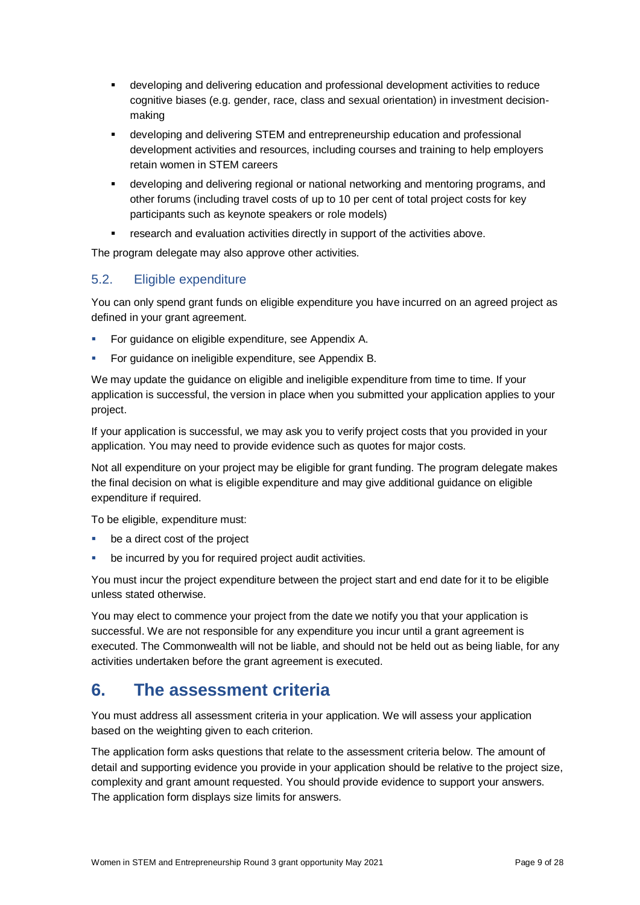- developing and delivering education and professional development activities to reduce cognitive biases (e.g. gender, race, class and sexual orientation) in investment decisionmaking
- developing and delivering STEM and entrepreneurship education and professional development activities and resources, including courses and training to help employers retain women in STEM careers
- developing and delivering regional or national networking and mentoring programs, and other forums (including travel costs of up to 10 per cent of total project costs for key participants such as keynote speakers or role models)
- research and evaluation activities directly in support of the activities above.

The program delegate may also approve other activities.

### 5.2. Eligible expenditure

You can only spend grant funds on eligible expenditure you have incurred on an agreed project as defined in your grant agreement.

- **For guidance on eligible expenditure, see Appendix A.**
- For guidance on ineligible expenditure, see Appendix B.

We may update the guidance on eligible and ineligible expenditure from time to time. If your application is successful, the version in place when you submitted your application applies to your project.

If your application is successful, we may ask you to verify project costs that you provided in your application. You may need to provide evidence such as quotes for major costs.

Not all expenditure on your project may be eligible for grant funding. The program delegate makes the final decision on what is eligible expenditure and may give additional guidance on eligible expenditure if required.

To be eligible, expenditure must:

- be a direct cost of the project
- be incurred by you for required project audit activities.

You must incur the project expenditure between the project start and end date for it to be eligible unless stated otherwise.

You may elect to commence your project from the date we notify you that your application is successful. We are not responsible for any expenditure you incur until a grant agreement is executed. The Commonwealth will not be liable, and should not be held out as being liable, for any activities undertaken before the grant agreement is executed.

### **6. The assessment criteria**

You must address all assessment criteria in your application. We will assess your application based on the weighting given to each criterion.

The application form asks questions that relate to the assessment criteria below. The amount of detail and supporting evidence you provide in your application should be relative to the project size, complexity and grant amount requested. You should provide evidence to support your answers. The application form displays size limits for answers.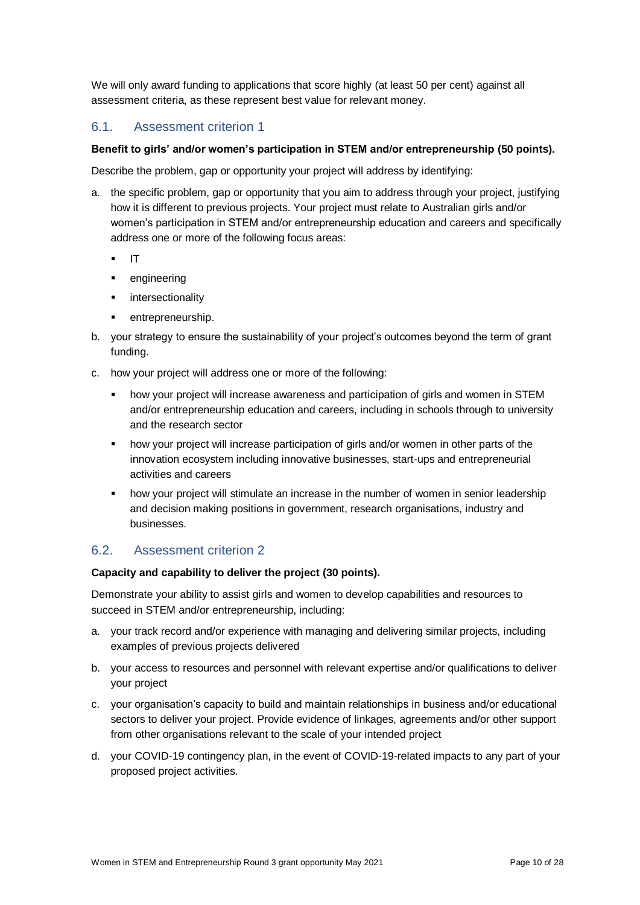We will only award funding to applications that score highly (at least 50 per cent) against all assessment criteria, as these represent best value for relevant money.

### 6.1. Assessment criterion 1

### **Benefit to girls' and/or women's participation in STEM and/or entrepreneurship (50 points).**

Describe the problem, gap or opportunity your project will address by identifying:

- a. the specific problem, gap or opportunity that you aim to address through your project, justifying how it is different to previous projects. Your project must relate to Australian girls and/or women's participation in STEM and/or entrepreneurship education and careers and specifically address one or more of the following focus areas:
	- $I$  IT
	- **•** engineering
	- **·** intersectionality
	- entrepreneurship.
- b. your strategy to ensure the sustainability of your project's outcomes beyond the term of grant funding.
- c. how your project will address one or more of the following:
	- how your project will increase awareness and participation of girls and women in STEM and/or entrepreneurship education and careers, including in schools through to university and the research sector
	- how your project will increase participation of girls and/or women in other parts of the innovation ecosystem including innovative businesses, start-ups and entrepreneurial activities and careers
	- how your project will stimulate an increase in the number of women in senior leadership and decision making positions in government, research organisations, industry and businesses.

### 6.2. Assessment criterion 2

### **Capacity and capability to deliver the project (30 points).**

Demonstrate your ability to assist girls and women to develop capabilities and resources to succeed in STEM and/or entrepreneurship, including:

- a. your track record and/or experience with managing and delivering similar projects, including examples of previous projects delivered
- b. your access to resources and personnel with relevant expertise and/or qualifications to deliver your project
- c. your organisation's capacity to build and maintain relationships in business and/or educational sectors to deliver your project. Provide evidence of linkages, agreements and/or other support from other organisations relevant to the scale of your intended project
- d. your COVID-19 contingency plan, in the event of COVID-19-related impacts to any part of your proposed project activities.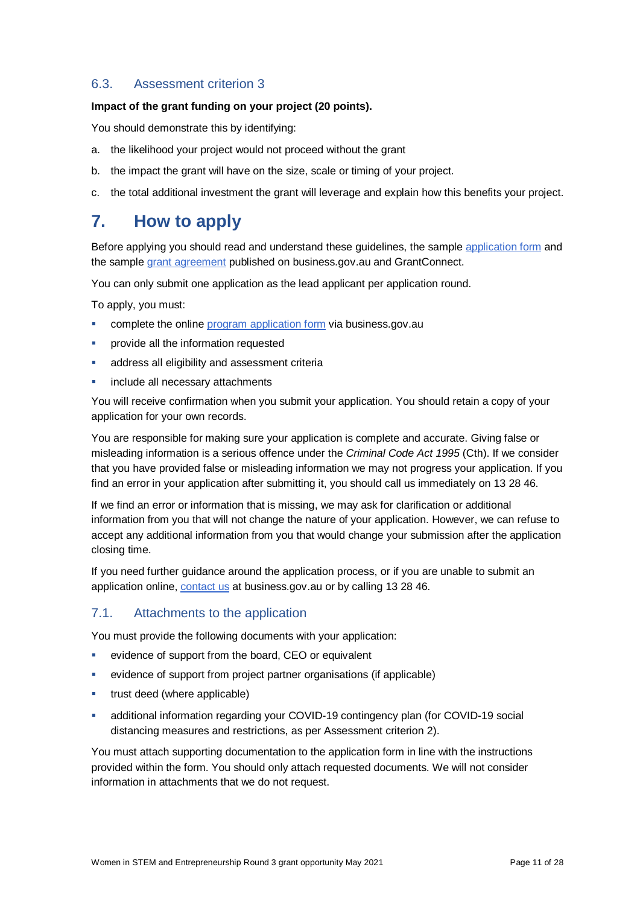### 6.3. Assessment criterion 3

#### **Impact of the grant funding on your project (20 points).**

You should demonstrate this by identifying:

- a. the likelihood your project would not proceed without the grant
- b. the impact the grant will have on the size, scale or timing of your project.
- c. the total additional investment the grant will leverage and explain how this benefits your project.

### **7. How to apply**

Before applying you should read and understand these guidelines, the sample [application](https://www.business.gov.au/wise) form and the sample grant [agreement](https://www.business.gov.au/wise) published on business.gov.au and GrantConnect.

You can only submit one application as the lead applicant per application round.

To apply, you must:

- **EXECOMPLETE THE ONLINE PROGRAM** application form via business.gov.au
- provide all the information requested
- address all eligibility and assessment criteria
- include all necessary attachments

You will receive confirmation when you submit your application. You should retain a copy of your application for your own records.

You are responsible for making sure your application is complete and accurate. Giving false or misleading information is a serious offence under the *Criminal Code Act 1995* (Cth). If we consider that you have provided false or misleading information we may not progress your application. If you find an error in your application after submitting it, you should call us immediately on 13 28 46.

If we find an error or information that is missing, we may ask for clarification or additional information from you that will not change the nature of your application. However, we can refuse to accept any additional information from you that would change your submission after the application closing time.

If you need further guidance around the application process, or if you are unable to submit an application online, [contact us](https://www.business.gov.au/contact-us) at business.gov.au or by calling 13 28 46.

### 7.1. Attachments to the application

You must provide the following documents with your application:

- evidence of support from the board, CEO or equivalent
- evidence of support from project partner organisations (if applicable)
- trust deed (where applicable)
- additional information regarding your COVID-19 contingency plan (for COVID-19 social distancing measures and restrictions, as per Assessment criterion 2).

You must attach supporting documentation to the application form in line with the instructions provided within the form. You should only attach requested documents. We will not consider information in attachments that we do not request.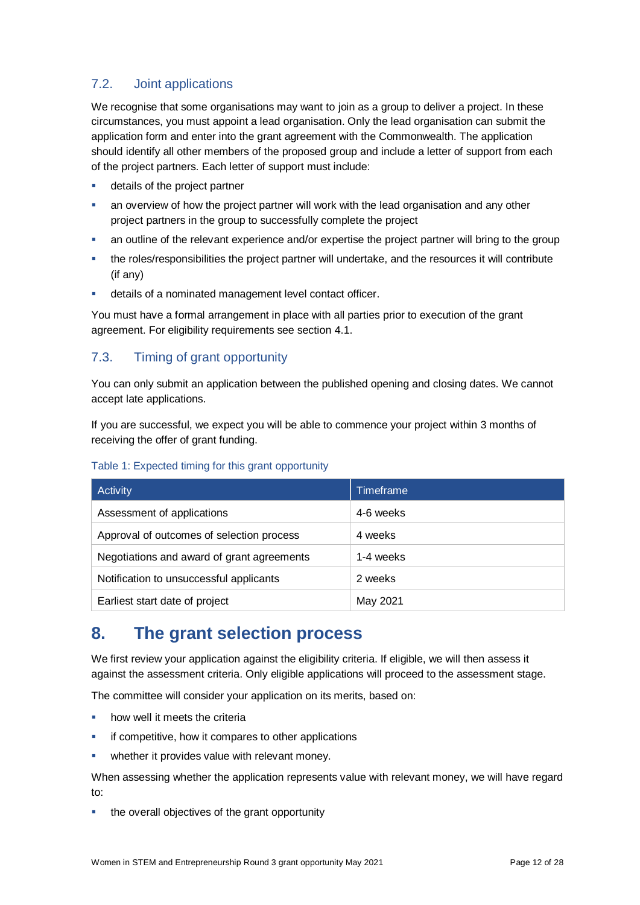### <span id="page-11-0"></span>7.2. Joint applications

We recognise that some organisations may want to join as a group to deliver a project. In these circumstances, you must appoint a lead organisation. Only the lead organisation can submit the application form and enter into the grant agreement with the Commonwealth. The application should identify all other members of the proposed group and include a letter of support from each of the project partners. Each letter of support must include:

- details of the project partner
- an overview of how the project partner will work with the lead organisation and any other project partners in the group to successfully complete the project
- an outline of the relevant experience and/or expertise the project partner will bring to the group
- the roles/responsibilities the project partner will undertake, and the resources it will contribute (if any)
- details of a nominated management level contact officer.

You must have a formal arrangement in place with all parties prior to execution of the grant agreement. For eligibility requirements see section [4.1.](#page-6-0)

### 7.3. Timing of grant opportunity

You can only submit an application between the published opening and closing dates. We cannot accept late applications.

If you are successful, we expect you will be able to commence your project within 3 months of receiving the offer of grant funding.

| Activity                                   | Timeframe |
|--------------------------------------------|-----------|
| Assessment of applications                 | 4-6 weeks |
| Approval of outcomes of selection process  | 4 weeks   |
| Negotiations and award of grant agreements | 1-4 weeks |
| Notification to unsuccessful applicants    | 2 weeks   |
| Earliest start date of project             | May 2021  |

### Table 1: Expected timing for this grant opportunity

### **8. The grant selection process**

We first review your application against the eligibility criteria. If eligible, we will then assess it against the assessment criteria. Only eligible applications will proceed to the assessment stage.

The committee will consider your application on its merits, based on:

- how well it meets the criteria
- if competitive, how it compares to other applications
- **•** whether it provides value with relevant money.

When assessing whether the application represents value with relevant money, we will have regard to:

the overall objectives of the grant opportunity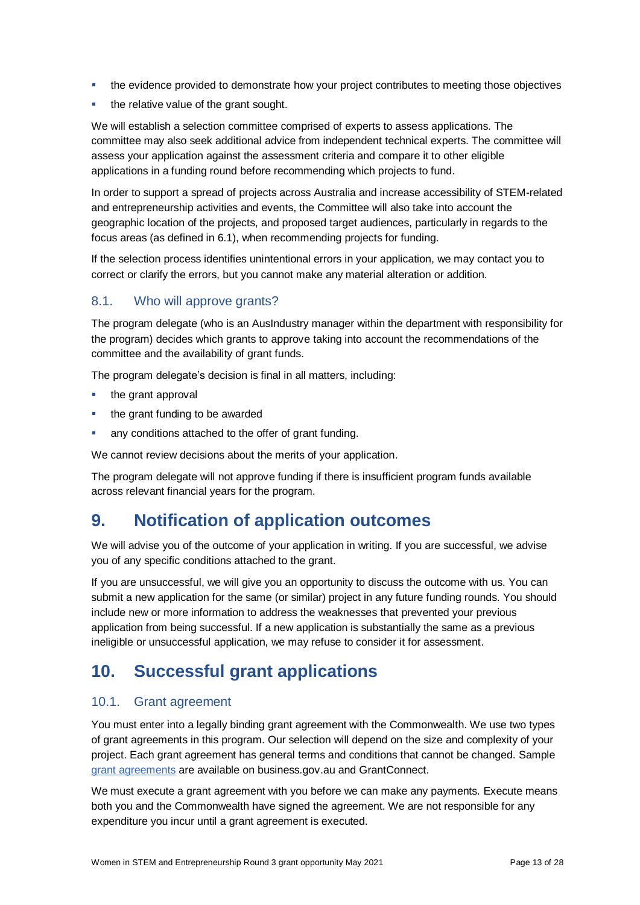- the evidence provided to demonstrate how your project contributes to meeting those objectives
- the relative value of the grant sought.

We will establish a selection committee comprised of experts to assess applications. The committee may also seek additional advice from independent technical experts. The committee will assess your application against the assessment criteria and compare it to other eligible applications in a funding round before recommending which projects to fund.

In order to support a spread of projects across Australia and increase accessibility of STEM-related and entrepreneurship activities and events, the Committee will also take into account the geographic location of the projects, and proposed target audiences, particularly in regards to the focus areas (as defined in 6.1), when recommending projects for funding.

If the selection process identifies unintentional errors in your application, we may contact you to correct or clarify the errors, but you cannot make any material alteration or addition.

### 8.1. Who will approve grants?

The program delegate (who is an AusIndustry manager within the department with responsibility for the program) decides which grants to approve taking into account the recommendations of the committee and the availability of grant funds.

The program delegate's decision is final in all matters, including:

- the grant approval
- the grant funding to be awarded
- any conditions attached to the offer of grant funding.

We cannot review decisions about the merits of your application.

The program delegate will not approve funding if there is insufficient program funds available across relevant financial years for the program.

### **9. Notification of application outcomes**

We will advise you of the outcome of your application in writing. If you are successful, we advise you of any specific conditions attached to the grant.

If you are unsuccessful, we will give you an opportunity to discuss the outcome with us. You can submit a new application for the same (or similar) project in any future funding rounds. You should include new or more information to address the weaknesses that prevented your previous application from being successful. If a new application is substantially the same as a previous ineligible or unsuccessful application, we may refuse to consider it for assessment.

# **10. Successful grant applications**

### 10.1. Grant agreement

You must enter into a legally binding grant agreement with the Commonwealth. We use two types of grant agreements in this program. Our selection will depend on the size and complexity of your project. Each grant agreement has general terms and conditions that cannot be changed. Sample [grant agreements](http://www.business.gov.au/WISE) are available on business.gov.au and GrantConnect.

We must execute a grant agreement with you before we can make any payments. Execute means both you and the Commonwealth have signed the agreement. We are not responsible for any expenditure you incur until a grant agreement is executed.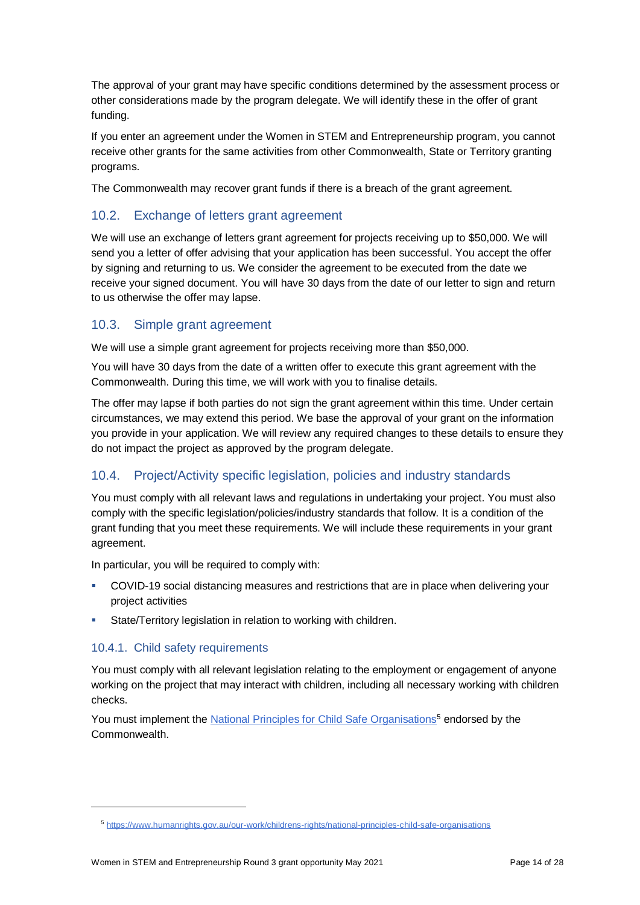The approval of your grant may have specific conditions determined by the assessment process or other considerations made by the program delegate. We will identify these in the offer of grant funding.

If you enter an agreement under the Women in STEM and Entrepreneurship program, you cannot receive other grants for the same activities from other Commonwealth, State or Territory granting programs.

The Commonwealth may recover grant funds if there is a breach of the grant agreement.

### 10.2. Exchange of letters grant agreement

We will use an exchange of letters grant agreement for projects receiving up to \$50,000. We will send you a letter of offer advising that your application has been successful. You accept the offer by signing and returning to us. We consider the agreement to be executed from the date we receive your signed document. You will have 30 days from the date of our letter to sign and return to us otherwise the offer may lapse.

### 10.3. Simple grant agreement

We will use a simple grant agreement for projects receiving more than \$50,000.

You will have 30 days from the date of a written offer to execute this grant agreement with the Commonwealth. During this time, we will work with you to finalise details.

The offer may lapse if both parties do not sign the grant agreement within this time. Under certain circumstances, we may extend this period. We base the approval of your grant on the information you provide in your application. We will review any required changes to these details to ensure they do not impact the project as approved by the program delegate.

### 10.4. Project/Activity specific legislation, policies and industry standards

You must comply with all relevant laws and regulations in undertaking your project. You must also comply with the specific legislation/policies/industry standards that follow. It is a condition of the grant funding that you meet these requirements. We will include these requirements in your grant agreement.

In particular, you will be required to comply with:

- COVID-19 social distancing measures and restrictions that are in place when delivering your project activities
- **State/Territory legislation in relation to working with children.**

### 10.4.1. Child safety requirements

l

You must comply with all relevant legislation relating to the employment or engagement of anyone working on the project that may interact with children, including all necessary working with children checks.

You must implement th[e National Principles for Child Safe Organisations](https://www.humanrights.gov.au/our-work/childrens-rights/national-principles-child-safe-organisations)<sup>5</sup> endorsed by the Commonwealth.

<sup>5</sup> <https://www.humanrights.gov.au/our-work/childrens-rights/national-principles-child-safe-organisations>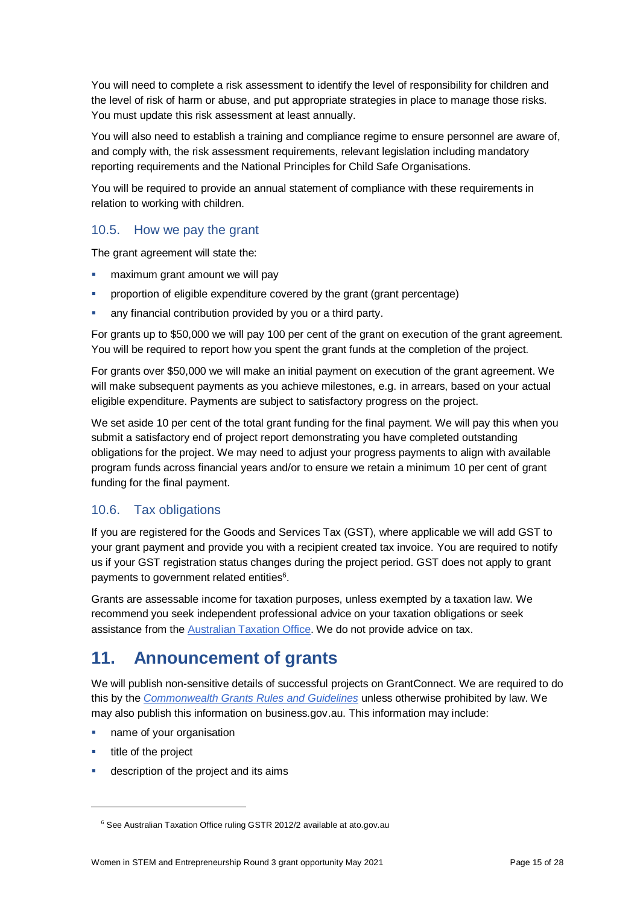You will need to complete a risk assessment to identify the level of responsibility for children and the level of risk of harm or abuse, and put appropriate strategies in place to manage those risks. You must update this risk assessment at least annually.

You will also need to establish a training and compliance regime to ensure personnel are aware of, and comply with, the risk assessment requirements, relevant legislation including mandatory reporting requirements and the National Principles for Child Safe Organisations.

You will be required to provide an annual statement of compliance with these requirements in relation to working with children.

### 10.5. How we pay the grant

The grant agreement will state the:

- maximum grant amount we will pay
- proportion of eligible expenditure covered by the grant (grant percentage)
- any financial contribution provided by you or a third party.

For grants up to \$50,000 we will pay 100 per cent of the grant on execution of the grant agreement. You will be required to report how you spent the grant funds at the completion of the project.

For grants over \$50,000 we will make an initial payment on execution of the grant agreement. We will make subsequent payments as you achieve milestones, e.g. in arrears, based on your actual eligible expenditure. Payments are subject to satisfactory progress on the project.

We set aside 10 per cent of the total grant funding for the final payment. We will pay this when you submit a satisfactory end of project report demonstrating you have completed outstanding obligations for the project. We may need to adjust your progress payments to align with available program funds across financial years and/or to ensure we retain a minimum 10 per cent of grant funding for the final payment.

### 10.6. Tax obligations

If you are registered for the Goods and Services Tax (GST), where applicable we will add GST to your grant payment and provide you with a recipient created tax invoice. You are required to notify us if your GST registration status changes during the project period. GST does not apply to grant payments to government related entities<sup>6</sup>.

Grants are assessable income for taxation purposes, unless exempted by a taxation law. We recommend you seek independent professional advice on your taxation obligations or seek assistance from the [Australian Taxation Office.](https://www.ato.gov.au/) We do not provide advice on tax.

### **11. Announcement of grants**

We will publish non-sensitive details of successful projects on GrantConnect. We are required to do this by the *[Commonwealth Grants Rules and Guidelines](https://www.finance.gov.au/government/commonwealth-grants/commonwealth-grants-rules-guidelines)* unless otherwise prohibited by law. We may also publish this information on business.gov.au. This information may include:

- name of your organisation
- **title of the project**

l

description of the project and its aims

<sup>&</sup>lt;sup>6</sup> See Australian Taxation Office ruling GSTR 2012/2 available at ato.gov.au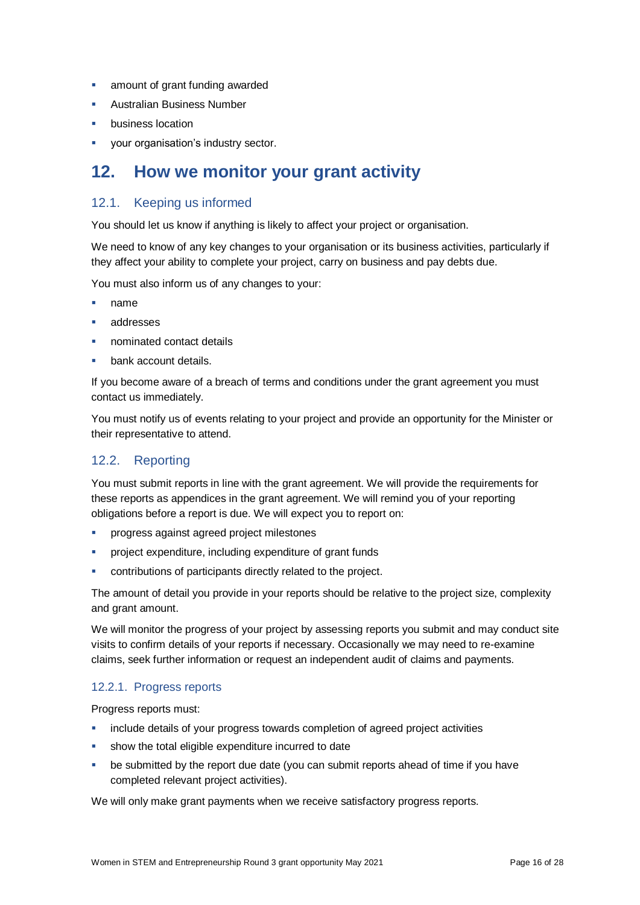- **amount of grant funding awarded**
- Australian Business Number
- business location
- **vour organisation's industry sector.**

### **12. How we monitor your grant activity**

### 12.1. Keeping us informed

You should let us know if anything is likely to affect your project or organisation.

We need to know of any key changes to your organisation or its business activities, particularly if they affect your ability to complete your project, carry on business and pay debts due.

You must also inform us of any changes to your:

- name
- addresses
- nominated contact details
- bank account details.

If you become aware of a breach of terms and conditions under the grant agreement you must contact us immediately.

You must notify us of events relating to your project and provide an opportunity for the Minister or their representative to attend.

### 12.2. Reporting

You must submit reports in line with the [grant agreement.](file://///prod.protected.ind/User/user03/LLau2/insert%20link%20here) We will provide the requirements for these reports as appendices in the grant agreement. We will remind you of your reporting obligations before a report is due. We will expect you to report on:

- **•** progress against agreed project milestones
- project expenditure, including expenditure of grant funds
- contributions of participants directly related to the project.

The amount of detail you provide in your reports should be relative to the project size, complexity and grant amount.

We will monitor the progress of your project by assessing reports you submit and may conduct site visits to confirm details of your reports if necessary. Occasionally we may need to re-examine claims, seek further information or request an independent audit of claims and payments.

### 12.2.1. Progress reports

Progress reports must:

- include details of your progress towards completion of agreed project activities
- show the total eligible expenditure incurred to date
- be submitted by the report due date (you can submit reports ahead of time if you have completed relevant project activities).

We will only make grant payments when we receive satisfactory progress reports.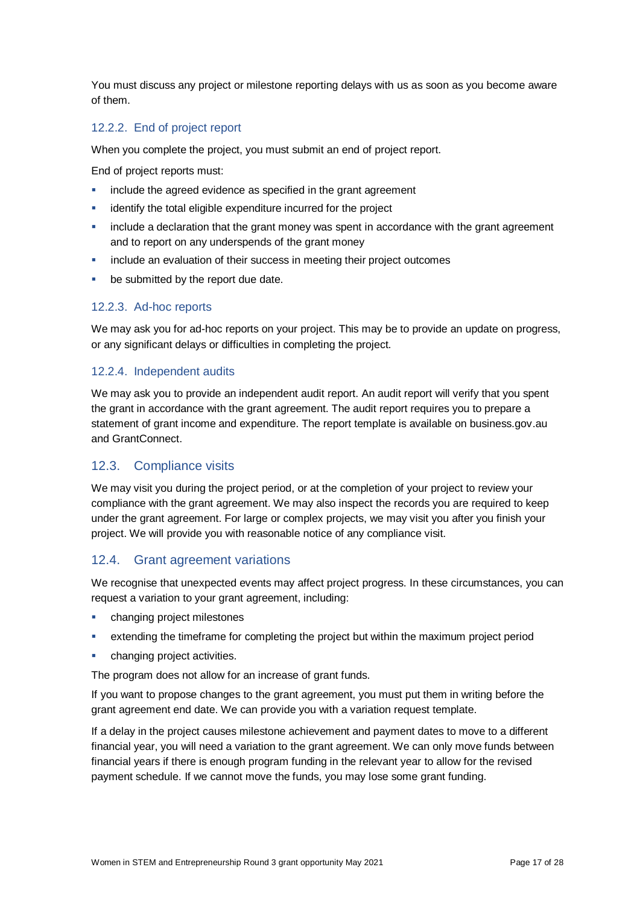You must discuss any project or milestone reporting delays with us as soon as you become aware of them.

### 12.2.2. End of project report

When you complete the project, you must submit an end of project report.

End of project reports must:

- include the agreed evidence as specified in the grant agreement
- identify the total eligible expenditure incurred for the project
- include a declaration that the grant money was spent in accordance with the grant agreement and to report on any underspends of the grant money
- include an evaluation of their success in meeting their project outcomes
- be submitted by the report due date.

### 12.2.3. Ad-hoc reports

We may ask you for ad-hoc reports on your project. This may be to provide an update on progress, or any significant delays or difficulties in completing the project.

### 12.2.4. Independent audits

We may ask you to provide an independent audit report. An audit report will verify that you spent the grant in accordance with the grant agreement. The audit report requires you to prepare a statement of grant income and expenditure. The report template is available on business.gov.au and GrantConnect.

### 12.3. Compliance visits

We may visit you during the project period, or at the completion of your project to review your compliance with the grant agreement. We may also inspect the records you are required to keep under the grant agreement. For large or complex projects, we may visit you after you finish your project. We will provide you with reasonable notice of any compliance visit.

### 12.4. Grant agreement variations

We recognise that unexpected events may affect project progress. In these circumstances, you can request a variation to your grant agreement, including:

- changing project milestones
- extending the timeframe for completing the project but within the maximum project period
- **•** changing project activities.

The program does not allow for an increase of grant funds.

If you want to propose changes to the grant agreement, you must put them in writing before the grant agreement end date. We can provide you with a variation request template.

If a delay in the project causes milestone achievement and payment dates to move to a different financial year, you will need a variation to the grant agreement. We can only move funds between financial years if there is enough program funding in the relevant year to allow for the revised payment schedule. If we cannot move the funds, you may lose some grant funding.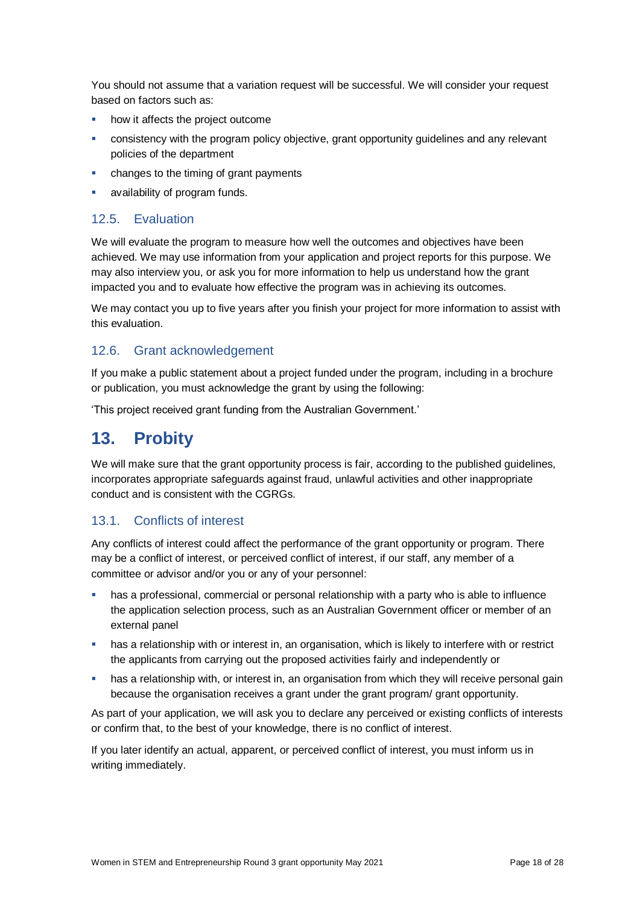You should not assume that a variation request will be successful. We will consider your request based on factors such as:

- how it affects the project outcome
- consistency with the program policy objective, grant opportunity guidelines and any relevant policies of the department
- changes to the timing of grant payments
- availability of program funds.

### 12.5. Evaluation

We will evaluate the program to measure how well the outcomes and objectives have been achieved. We may use information from your application and project reports for this purpose. We may also interview you, or ask you for more information to help us understand how the grant impacted you and to evaluate how effective the program was in achieving its outcomes.

We may contact you up to five years after you finish your project for more information to assist with this evaluation.

### 12.6. Grant acknowledgement

If you make a public statement about a project funded under the program, including in a brochure or publication, you must acknowledge the grant by using the following:

'This project received grant funding from the Australian Government.'

### **13. Probity**

We will make sure that the grant opportunity process is fair, according to the published guidelines, incorporates appropriate safeguards against fraud, unlawful activities and other inappropriate conduct and is consistent with the CGRGs.

### 13.1. Conflicts of interest

Any conflicts of interest could affect the performance of the grant opportunity or program. There may be a [conflict of interest,](http://www.apsc.gov.au/publications-and-media/current-publications/aps-values-and-code-of-conduct-in-practice/conflict-of-interest) or perceived conflict of interest, if our staff, any member of a committee or advisor and/or you or any of your personnel:

- has a professional, commercial or personal relationship with a party who is able to influence the application selection process, such as an Australian Government officer or member of an external panel
- has a relationship with or interest in, an organisation, which is likely to interfere with or restrict the applicants from carrying out the proposed activities fairly and independently or
- has a relationship with, or interest in, an organisation from which they will receive personal gain because the organisation receives a grant under the grant program/ grant opportunity.

As part of your application, we will ask you to declare any perceived or existing conflicts of interests or confirm that, to the best of your knowledge, there is no conflict of interest.

If you later identify an actual, apparent, or perceived conflict of interest, you must inform us in writing immediately.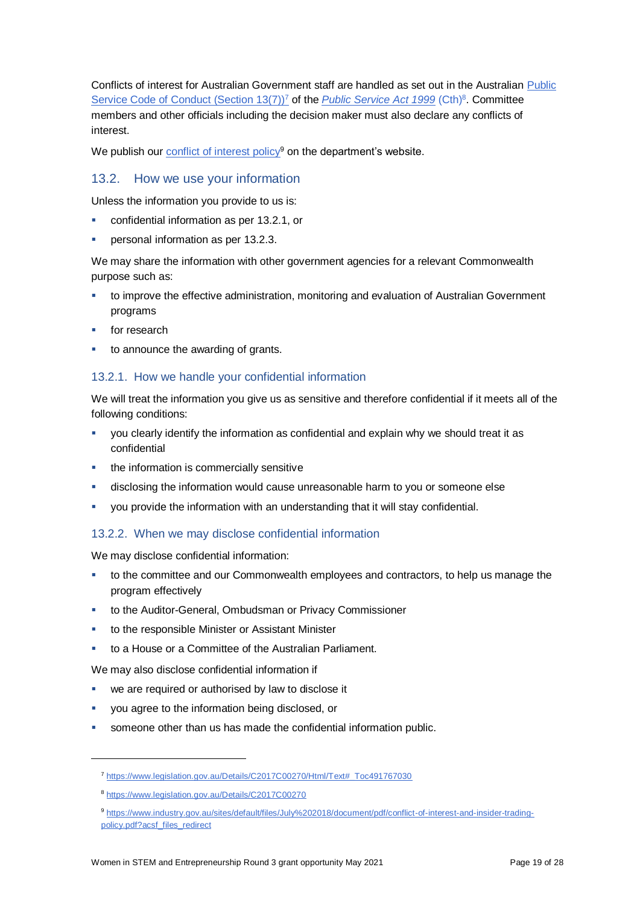Conflicts of interest for Australian Government staff are handled as set out in the Australian [Public](https://www.legislation.gov.au/Details/C2017C00270/Html/Text#_Toc491767030)  [Service Code of Conduct \(Section 13\(7\)\)](https://www.legislation.gov.au/Details/C2017C00270/Html/Text#_Toc491767030)<sup>7</sup> of the *[Public Service Act 1999](https://www.legislation.gov.au/Details/C2017C00270)* (Cth)<sup>8</sup>. Committee members and other officials including the decision maker must also declare any conflicts of interest.

We publish our [conflict of interest policy](https://www.industry.gov.au/sites/g/files/net3906/f/July%202018/document/pdf/conflict-of-interest-and-insider-trading-policy.pdf)<sup>9</sup> on the department's website.

### 13.2. How we use your information

Unless the information you provide to us is:

- confidential information as per [13.2.1,](#page-18-0) or
- **personal information as per [13.2.3.](#page-19-0)**

We may share the information with other government agencies for a relevant Commonwealth purpose such as:

- to improve the effective administration, monitoring and evaluation of Australian Government programs
- for research
- to announce the awarding of grants.

### <span id="page-18-0"></span>13.2.1. How we handle your confidential information

We will treat the information you give us as sensitive and therefore confidential if it meets all of the following conditions:

- you clearly identify the information as confidential and explain why we should treat it as confidential
- the information is commercially sensitive
- disclosing the information would cause unreasonable harm to you or someone else
- you provide the information with an understanding that it will stay confidential.

### 13.2.2. When we may disclose confidential information

We may disclose confidential information:

- to the committee and our Commonwealth employees and contractors, to help us manage the program effectively
- to the Auditor-General, Ombudsman or Privacy Commissioner
- to the responsible Minister or Assistant Minister
- to a House or a Committee of the Australian Parliament.

We may also disclose confidential information if

- we are required or authorised by law to disclose it
- you agree to the information being disclosed, or
- someone other than us has made the confidential information public.

l

<sup>7</sup> [https://www.legislation.gov.au/Details/C2017C00270/Html/Text#\\_Toc491767030](https://www.legislation.gov.au/Details/C2017C00270/Html/Text#_Toc491767030)

<sup>8</sup> <https://www.legislation.gov.au/Details/C2017C00270>

<sup>9</sup> [https://www.industry.gov.au/sites/default/files/July%202018/document/pdf/conflict-of-interest-and-insider-trading](https://www.industry.gov.au/sites/default/files/July%202018/document/pdf/conflict-of-interest-and-insider-trading-policy.pdf?acsf_files_redirect)[policy.pdf?acsf\\_files\\_redirect](https://www.industry.gov.au/sites/default/files/July%202018/document/pdf/conflict-of-interest-and-insider-trading-policy.pdf?acsf_files_redirect)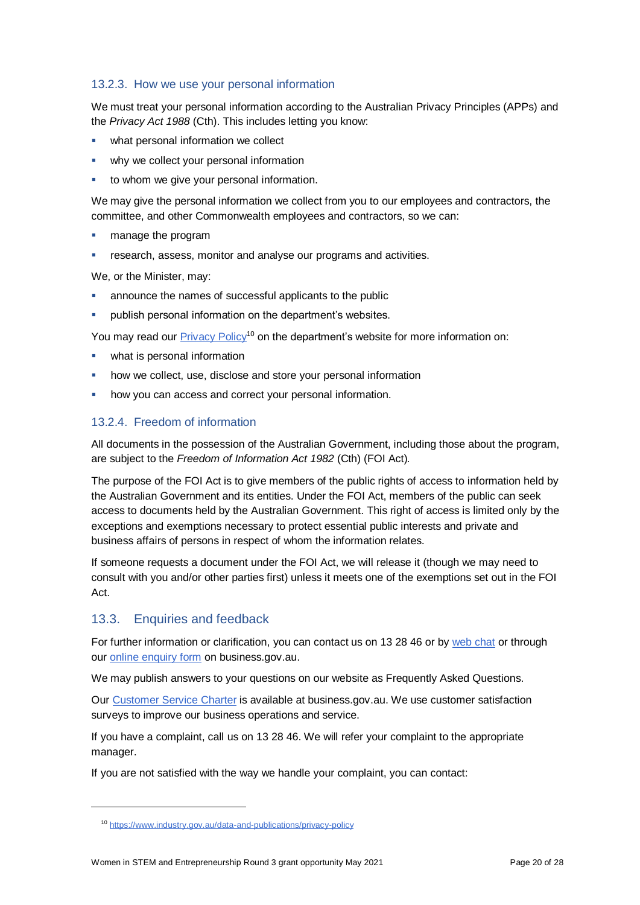### <span id="page-19-0"></span>13.2.3. How we use your personal information

We must treat your personal information according to the Australian Privacy Principles (APPs) and the *Privacy Act 1988* (Cth). This includes letting you know:

- what personal information we collect
- why we collect your personal information
- to whom we give your personal information.

We may give the personal information we collect from you to our employees and contractors, the committee, and other Commonwealth employees and contractors, so we can:

- manage the program
- research, assess, monitor and analyse our programs and activities.

We, or the Minister, may:

- announce the names of successful applicants to the public
- publish personal information on the department's websites.

You may read our [Privacy Policy](https://www.industry.gov.au/data-and-publications/privacy-policy)<sup>10</sup> on the department's website for more information on:

- what is personal information
- how we collect, use, disclose and store your personal information
- how you can access and correct your personal information.

### 13.2.4. Freedom of information

All documents in the possession of the Australian Government, including those about the program, are subject to the *Freedom of Information Act 1982* (Cth) (FOI Act)*.*

The purpose of the FOI Act is to give members of the public rights of access to information held by the Australian Government and its entities. Under the FOI Act, members of the public can seek access to documents held by the Australian Government. This right of access is limited only by the exceptions and exemptions necessary to protect essential public interests and private and business affairs of persons in respect of whom the information relates.

If someone requests a document under the FOI Act, we will release it (though we may need to consult with you and/or other parties first) unless it meets one of the exemptions set out in the FOI Act.

### 13.3. Enquiries and feedback

l

For further information or clarification, you can contact us on 13 28 46 or by [web chat](https://www.business.gov.au/contact-us) or through our [online enquiry form](https://www.business.gov.au/Contact-Us) on business.gov.au.

We may publish answers to your questions on our website as Frequently Asked Questions.

Our [Customer Service Charter](https://www.business.gov.au/about/customer-service-charter) is available at [business.gov.au.](http://www.business.gov.au/) We use customer satisfaction surveys to improve our business operations and service.

If you have a complaint, call us on 13 28 46. We will refer your complaint to the appropriate manager.

If you are not satisfied with the way we handle your complaint, you can contact:

<sup>10</sup> <https://www.industry.gov.au/data-and-publications/privacy-policy>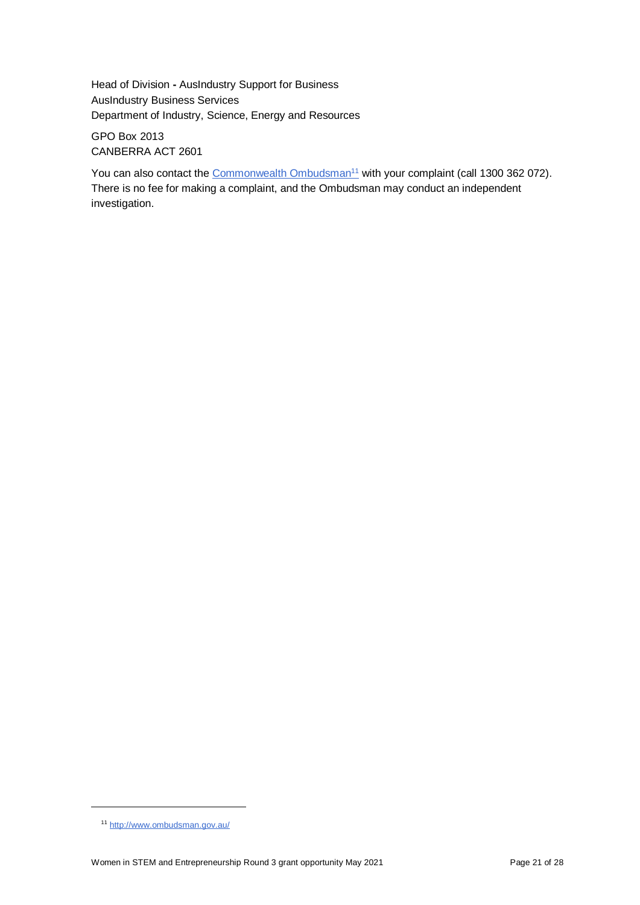Head of Division **-** AusIndustry Support for Business AusIndustry Business Services Department of Industry, Science, Energy and Resources

GPO Box 2013 CANBERRA ACT 2601

You can also contact the [Commonwealth Ombudsman](http://www.ombudsman.gov.au/)<sup>11</sup> with your complaint (call 1300 362 072). There is no fee for making a complaint, and the Ombudsman may conduct an independent investigation.

l

<sup>11</sup> <http://www.ombudsman.gov.au/>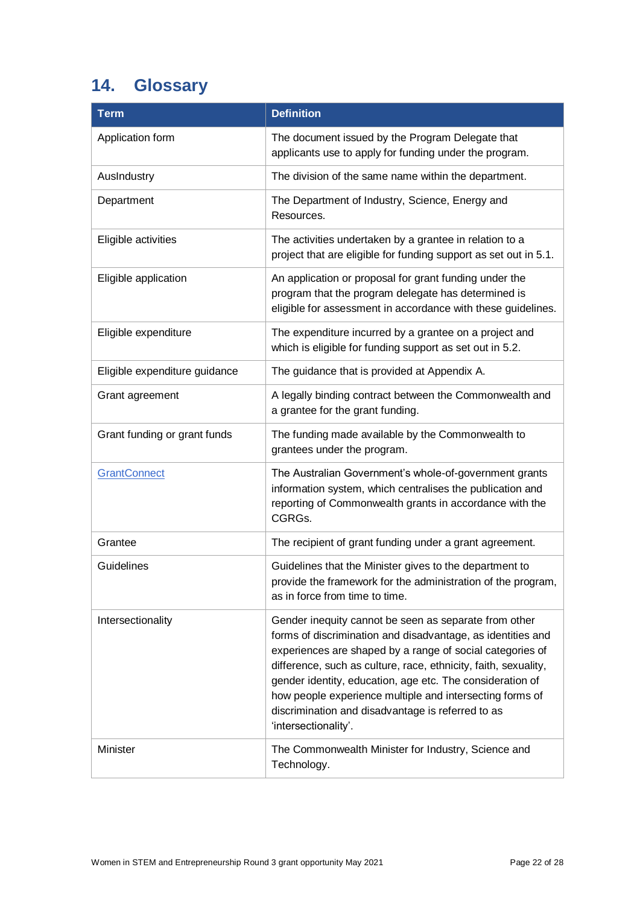# <span id="page-21-0"></span>**14. Glossary**

| <b>Term</b>                   | <b>Definition</b>                                                                                                                                                                                                                                                                                                                                                                                                                                          |
|-------------------------------|------------------------------------------------------------------------------------------------------------------------------------------------------------------------------------------------------------------------------------------------------------------------------------------------------------------------------------------------------------------------------------------------------------------------------------------------------------|
| Application form              | The document issued by the Program Delegate that<br>applicants use to apply for funding under the program.                                                                                                                                                                                                                                                                                                                                                 |
| AusIndustry                   | The division of the same name within the department.                                                                                                                                                                                                                                                                                                                                                                                                       |
| Department                    | The Department of Industry, Science, Energy and<br>Resources.                                                                                                                                                                                                                                                                                                                                                                                              |
| Eligible activities           | The activities undertaken by a grantee in relation to a<br>project that are eligible for funding support as set out in 5.1.                                                                                                                                                                                                                                                                                                                                |
| Eligible application          | An application or proposal for grant funding under the<br>program that the program delegate has determined is<br>eligible for assessment in accordance with these guidelines.                                                                                                                                                                                                                                                                              |
| Eligible expenditure          | The expenditure incurred by a grantee on a project and<br>which is eligible for funding support as set out in 5.2.                                                                                                                                                                                                                                                                                                                                         |
| Eligible expenditure guidance | The guidance that is provided at Appendix A.                                                                                                                                                                                                                                                                                                                                                                                                               |
| Grant agreement               | A legally binding contract between the Commonwealth and<br>a grantee for the grant funding.                                                                                                                                                                                                                                                                                                                                                                |
| Grant funding or grant funds  | The funding made available by the Commonwealth to<br>grantees under the program.                                                                                                                                                                                                                                                                                                                                                                           |
| <b>GrantConnect</b>           | The Australian Government's whole-of-government grants<br>information system, which centralises the publication and<br>reporting of Commonwealth grants in accordance with the<br>CGRGs.                                                                                                                                                                                                                                                                   |
| Grantee                       | The recipient of grant funding under a grant agreement.                                                                                                                                                                                                                                                                                                                                                                                                    |
| Guidelines                    | Guidelines that the Minister gives to the department to<br>provide the framework for the administration of the program,<br>as in force from time to time.                                                                                                                                                                                                                                                                                                  |
| Intersectionality             | Gender inequity cannot be seen as separate from other<br>forms of discrimination and disadvantage, as identities and<br>experiences are shaped by a range of social categories of<br>difference, such as culture, race, ethnicity, faith, sexuality,<br>gender identity, education, age etc. The consideration of<br>how people experience multiple and intersecting forms of<br>discrimination and disadvantage is referred to as<br>'intersectionality'. |
| Minister                      | The Commonwealth Minister for Industry, Science and<br>Technology.                                                                                                                                                                                                                                                                                                                                                                                         |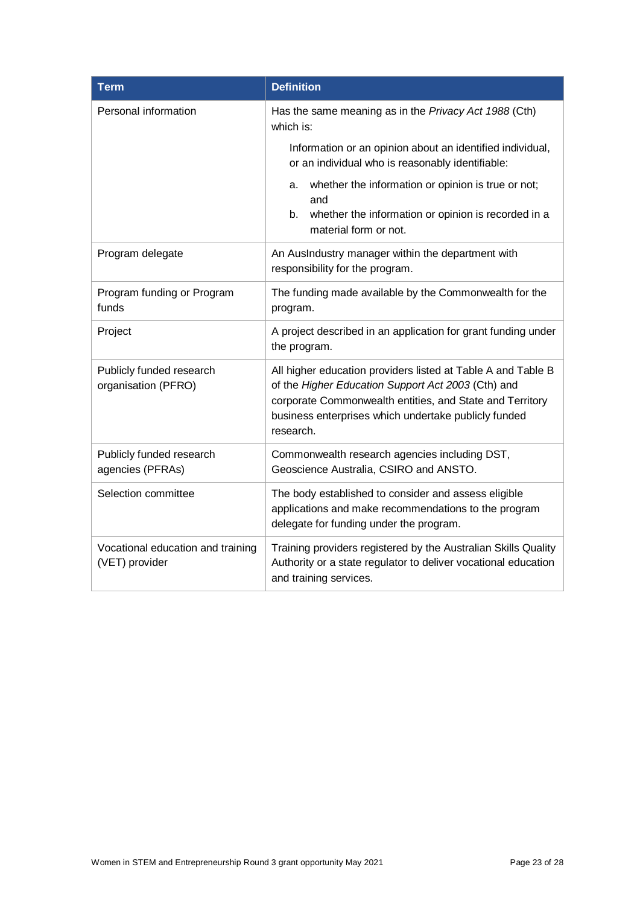| <b>Term</b>                                         | <b>Definition</b>                                                                                                                                                                                                                                   |
|-----------------------------------------------------|-----------------------------------------------------------------------------------------------------------------------------------------------------------------------------------------------------------------------------------------------------|
| Personal information                                | Has the same meaning as in the Privacy Act 1988 (Cth)<br>which is:                                                                                                                                                                                  |
|                                                     | Information or an opinion about an identified individual,<br>or an individual who is reasonably identifiable:                                                                                                                                       |
|                                                     | whether the information or opinion is true or not;<br>a.<br>and                                                                                                                                                                                     |
|                                                     | whether the information or opinion is recorded in a<br>b.<br>material form or not.                                                                                                                                                                  |
| Program delegate                                    | An AusIndustry manager within the department with<br>responsibility for the program.                                                                                                                                                                |
| Program funding or Program<br>funds                 | The funding made available by the Commonwealth for the<br>program.                                                                                                                                                                                  |
| Project                                             | A project described in an application for grant funding under<br>the program.                                                                                                                                                                       |
| Publicly funded research<br>organisation (PFRO)     | All higher education providers listed at Table A and Table B<br>of the Higher Education Support Act 2003 (Cth) and<br>corporate Commonwealth entities, and State and Territory<br>business enterprises which undertake publicly funded<br>research. |
| Publicly funded research<br>agencies (PFRAs)        | Commonwealth research agencies including DST,<br>Geoscience Australia, CSIRO and ANSTO.                                                                                                                                                             |
| Selection committee                                 | The body established to consider and assess eligible<br>applications and make recommendations to the program<br>delegate for funding under the program.                                                                                             |
| Vocational education and training<br>(VET) provider | Training providers registered by the Australian Skills Quality<br>Authority or a state regulator to deliver vocational education<br>and training services.                                                                                          |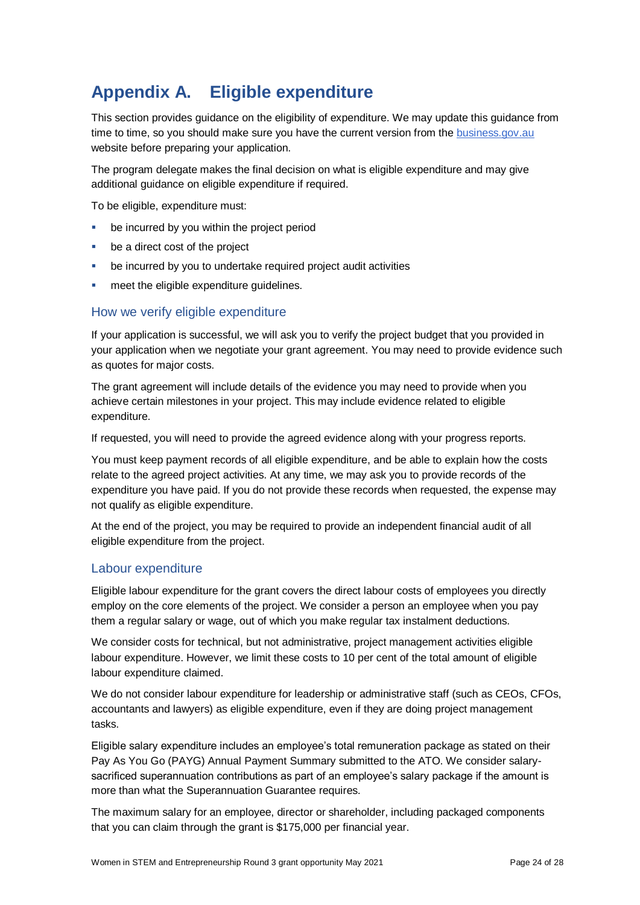# **Appendix A. Eligible expenditure**

This section provides guidance on the eligibility of expenditure. We may update this guidance from time to time, so you should make sure you have the current version from th[e business.gov.au](https://www.business.gov.au/Grants-and-Programs/Women-in-STEM-and-Entrepreneurship/) website before preparing your application.

The program delegate makes the final decision on what is eligible expenditure and may give additional quidance on eligible expenditure if required.

To be eligible, expenditure must:

- be incurred by you within the project period
- be a direct cost of the project
- be incurred by you to undertake required project audit activities
- meet the eligible expenditure guidelines.

### How we verify eligible expenditure

If your application is successful, we will ask you to verify the project budget that you provided in your application when we negotiate your grant agreement. You may need to provide evidence such as quotes for major costs.

The grant agreement will include details of the evidence you may need to provide when you achieve certain milestones in your project. This may include evidence related to eligible expenditure.

If requested, you will need to provide the agreed evidence along with your progress reports.

You must keep payment records of all eligible expenditure, and be able to explain how the costs relate to the agreed project activities. At any time, we may ask you to provide records of the expenditure you have paid. If you do not provide these records when requested, the expense may not qualify as eligible expenditure.

At the end of the project, you may be required to provide an independent financial audit of all eligible expenditure from the project.

### Labour expenditure

Eligible labour expenditure for the grant covers the direct labour costs of employees you directly employ on the core elements of the project. We consider a person an employee when you pay them a regular salary or wage, out of which you make regular tax instalment deductions.

We consider costs for technical, but not administrative, project management activities eligible labour expenditure. However, we limit these costs to 10 per cent of the total amount of eligible labour expenditure claimed.

We do not consider labour expenditure for leadership or administrative staff (such as CEOs, CFOs, accountants and lawyers) as eligible expenditure, even if they are doing project management tasks.

Eligible salary expenditure includes an employee's total remuneration package as stated on their Pay As You Go (PAYG) Annual Payment Summary submitted to the ATO. We consider salarysacrificed superannuation contributions as part of an employee's salary package if the amount is more than what the Superannuation Guarantee requires.

The maximum salary for an employee, director or shareholder, including packaged components that you can claim through the grant is \$175,000 per financial year.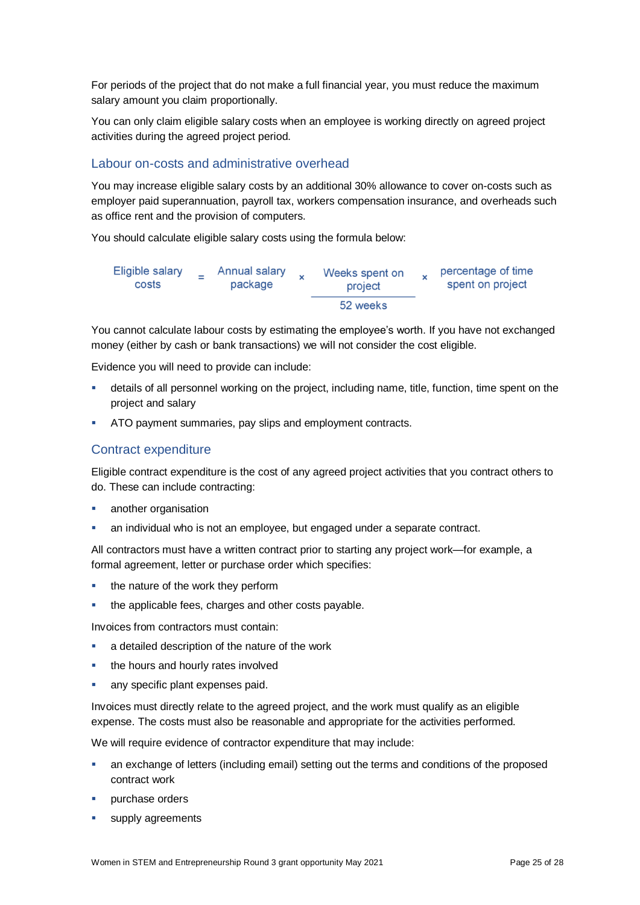For periods of the project that do not make a full financial year, you must reduce the maximum salary amount you claim proportionally.

You can only claim eligible salary costs when an employee is working directly on agreed project activities during the agreed project period.

### Labour on-costs and administrative overhead

You may increase eligible salary costs by an additional 30% allowance to cover on-costs such as employer paid superannuation, payroll tax, workers compensation insurance, and overheads such as office rent and the provision of computers.

You should calculate eligible salary costs using the formula below:



You cannot calculate labour costs by estimating the employee's worth. If you have not exchanged money (either by cash or bank transactions) we will not consider the cost eligible.

Evidence you will need to provide can include:

- details of all personnel working on the project, including name, title, function, time spent on the project and salary
- ATO payment summaries, pay slips and employment contracts.

### Contract expenditure

Eligible contract expenditure is the cost of any agreed project activities that you contract others to do. These can include contracting:

- **another organisation**
- an individual who is not an employee, but engaged under a separate contract.

All contractors must have a written contract prior to starting any project work—for example, a formal agreement, letter or purchase order which specifies:

- the nature of the work they perform
- the applicable fees, charges and other costs payable.

Invoices from contractors must contain:

- a detailed description of the nature of the work
- the hours and hourly rates involved
- any specific plant expenses paid.

Invoices must directly relate to the agreed project, and the work must qualify as an eligible expense. The costs must also be reasonable and appropriate for the activities performed.

We will require evidence of contractor expenditure that may include:

- an exchange of letters (including email) setting out the terms and conditions of the proposed contract work
- **purchase orders**
- supply agreements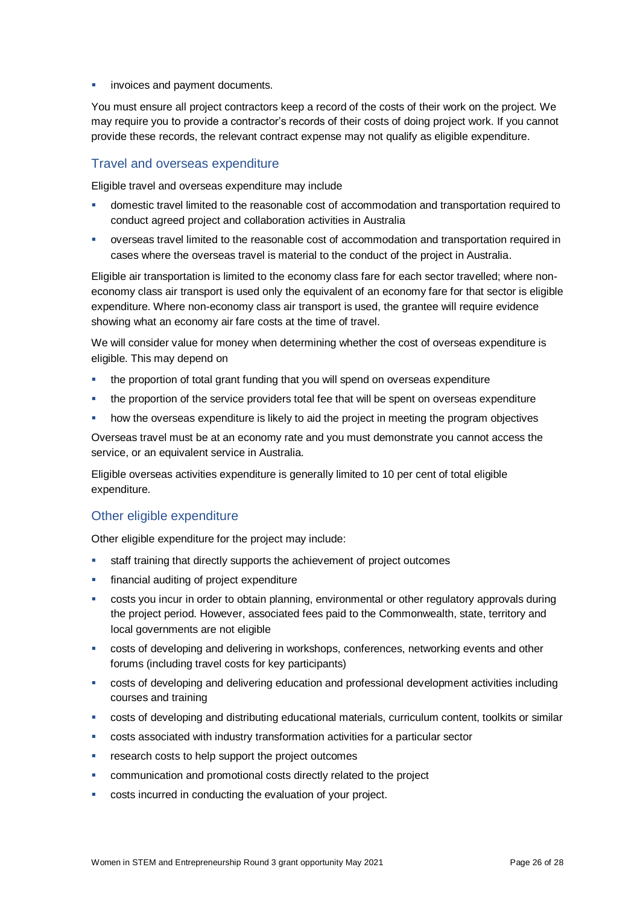invoices and payment documents.

You must ensure all project contractors keep a record of the costs of their work on the project. We may require you to provide a contractor's records of their costs of doing project work. If you cannot provide these records, the relevant contract expense may not qualify as eligible expenditure.

### Travel and overseas expenditure

Eligible travel and overseas expenditure may include

- domestic travel limited to the reasonable cost of accommodation and transportation required to conduct agreed project and collaboration activities in Australia
- overseas travel limited to the reasonable cost of accommodation and transportation required in cases where the overseas travel is material to the conduct of the project in Australia.

Eligible air transportation is limited to the economy class fare for each sector travelled; where noneconomy class air transport is used only the equivalent of an economy fare for that sector is eligible expenditure. Where non-economy class air transport is used, the grantee will require evidence showing what an economy air fare costs at the time of travel.

We will consider value for money when determining whether the cost of overseas expenditure is eligible. This may depend on

- the proportion of total grant funding that you will spend on overseas expenditure
- the proportion of the service providers total fee that will be spent on overseas expenditure
- how the overseas expenditure is likely to aid the project in meeting the program objectives

Overseas travel must be at an economy rate and you must demonstrate you cannot access the service, or an equivalent service in Australia.

Eligible overseas activities expenditure is generally limited to 10 per cent of total eligible expenditure.

### Other eligible expenditure

Other eligible expenditure for the project may include:

- **staff training that directly supports the achievement of project outcomes**
- financial auditing of project expenditure
- costs you incur in order to obtain planning, environmental or other regulatory approvals during the project period. However, associated fees paid to the Commonwealth, state, territory and local governments are not eligible
- costs of developing and delivering in workshops, conferences, networking events and other forums (including travel costs for key participants)
- costs of developing and delivering education and professional development activities including courses and training
- costs of developing and distributing educational materials, curriculum content, toolkits or similar
- costs associated with industry transformation activities for a particular sector
- research costs to help support the project outcomes
- communication and promotional costs directly related to the project
- costs incurred in conducting the evaluation of your project.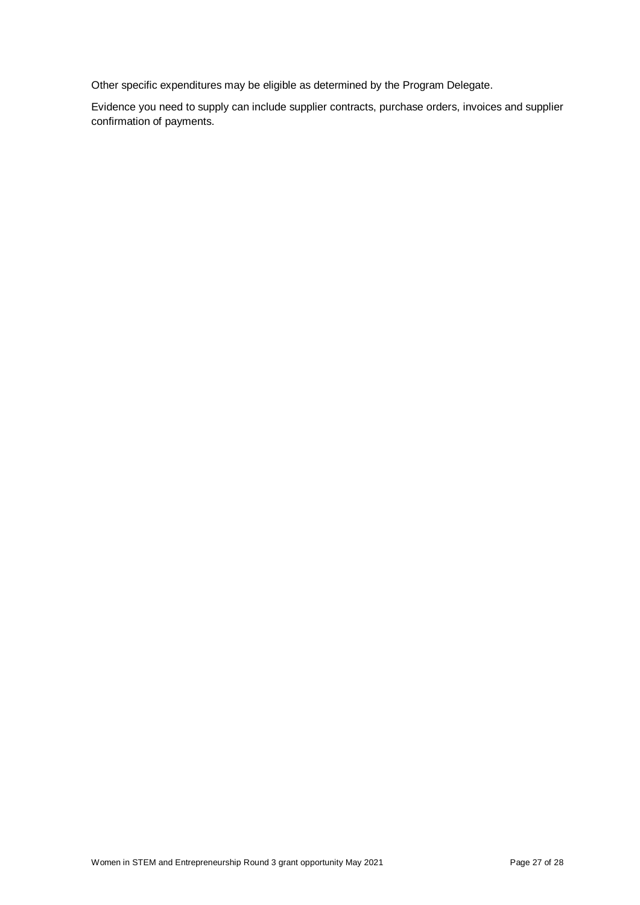Other specific expenditures may be eligible as determined by the Program Delegate.

Evidence you need to supply can include supplier contracts, purchase orders, invoices and supplier confirmation of payments.